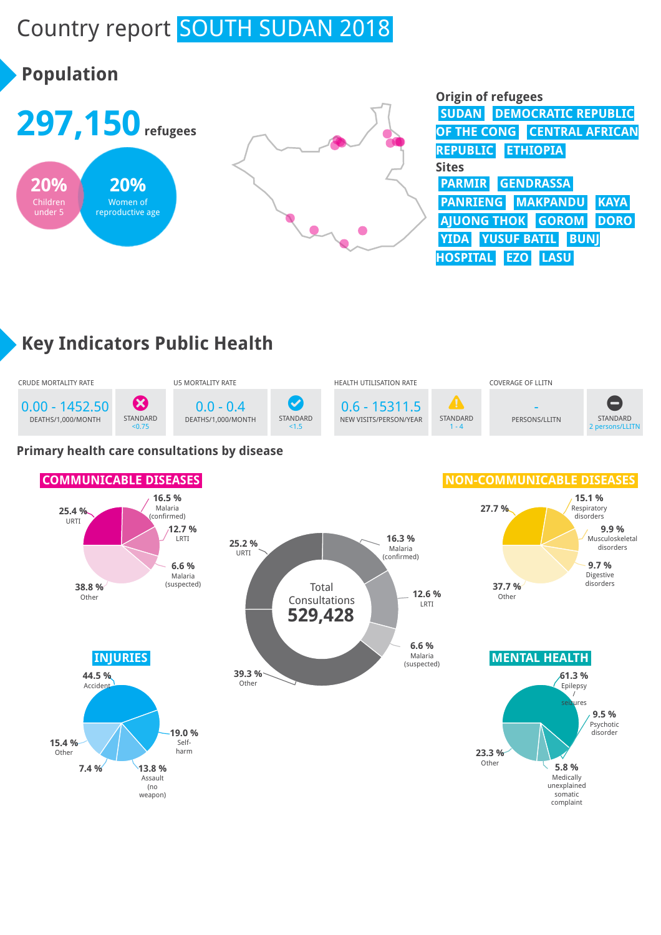# Country report SOUTH SUDAN 2018

# **Population**



| <b>Origin of refugees</b>          |
|------------------------------------|
| <b>SUDAN DEMOCRATIC REPUBLIC</b>   |
| OF THE CONG CENTRAL AFRICAN        |
| REPUBLIC ETHIOPIA                  |
| <b>Sites</b>                       |
| <b>PARMIR GENDRASSA</b>            |
| PANRIENG MAKPANDU KAYA             |
| AJUONG THOK GOROM DORO             |
| YIDA YUSUF BATIL BUNJ              |
| <b>HOSPITAL EZO</b><br><b>LASU</b> |

## **Key Indicators Public Health**



#### **Primary health care consultations by disease**

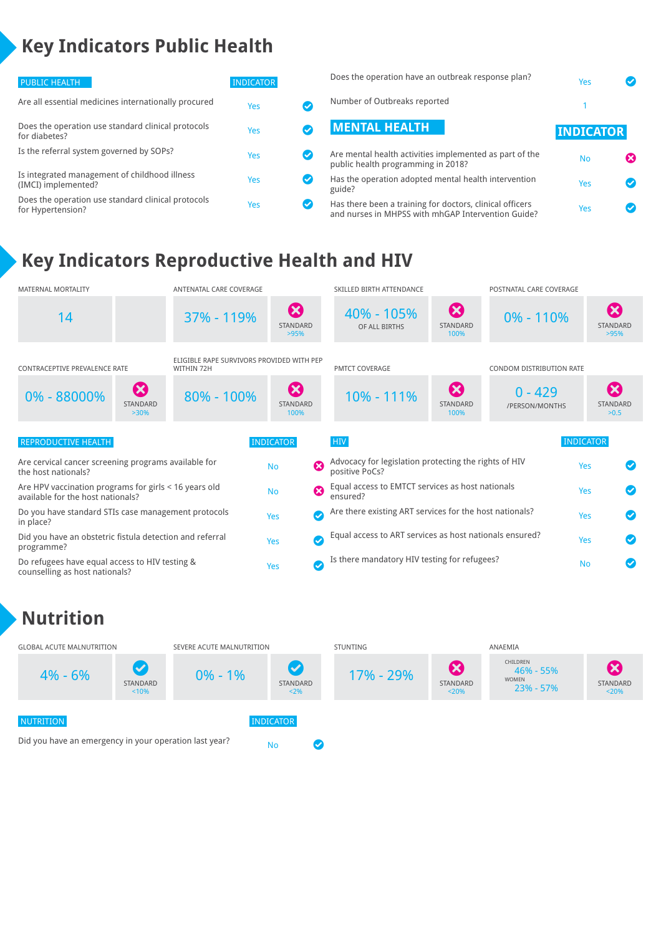## **Key Indicators Public Health**

| PUBLIC HEALTH                                                           | <b>INDICATOR</b> |               | Does the operat                     |
|-------------------------------------------------------------------------|------------------|---------------|-------------------------------------|
| Are all essential medicines internationally procured                    | Yes              | Ø             | Number of Outl                      |
| Does the operation use standard clinical protocols<br>for diabetes?     | Yes              | $\bullet$     | <b>MENTAL H</b>                     |
| Is the referral system governed by SOPs?                                | Yes              | $\bm{\sigma}$ | Are mental heal<br>public health pr |
| Is integrated management of childhood illness<br>(IMCI) implemented?    | <b>Yes</b>       | $\bullet$     | Has the operation<br>guide?         |
| Does the operation use standard clinical protocols<br>for Hypertension? | Yes              | Ø             | Has there been<br>and nurses in M   |

| Does the operation have an outbreak response plan?                                            | Yes              |  |
|-----------------------------------------------------------------------------------------------|------------------|--|
| Number of Outbreaks reported                                                                  |                  |  |
| <b>MENTAL HEALTH</b>                                                                          | <b>INDICATOR</b> |  |
| Are mental health activities implemented as part of the<br>public health programming in 2018? | <b>No</b>        |  |
| Has the operation adopted mental health intervention<br>guide?                                | Yes              |  |

a training for doctors, clinical officers a training for doctors, clinical officers<br>IHPSS with mhGAP Intervention Guide? Yes

## **Key Indicators Reproductive Health and HIV**



## **Nutrition**